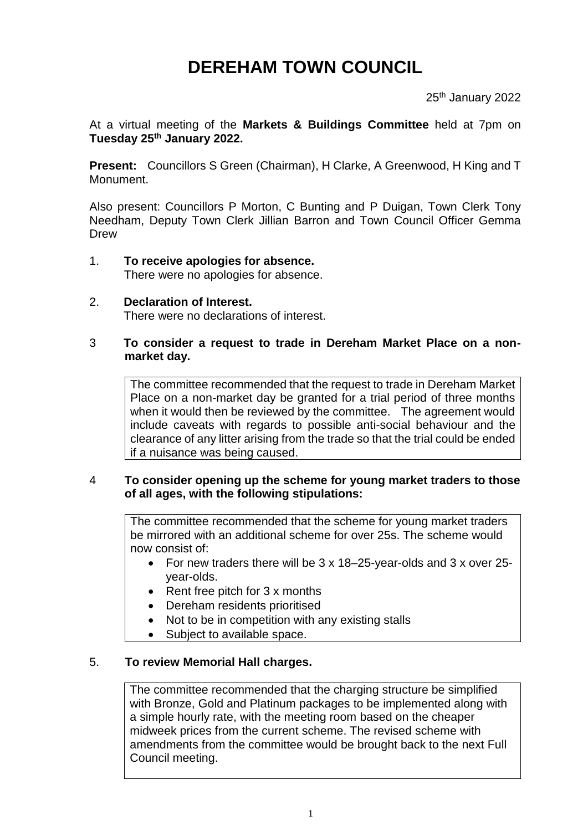# **DEREHAM TOWN COUNCIL**

25<sup>th</sup> January 2022

At a virtual meeting of the **Markets & Buildings Committee** held at 7pm on **Tuesday 25 th January 2022.**

**Present:** Councillors S Green (Chairman), H Clarke, A Greenwood, H King and T Monument.

Also present: Councillors P Morton, C Bunting and P Duigan, Town Clerk Tony Needham, Deputy Town Clerk Jillian Barron and Town Council Officer Gemma Drew

- 1. **To receive apologies for absence.** There were no apologies for absence.
- 2. **Declaration of Interest.** There were no declarations of interest.

### 3 **To consider a request to trade in Dereham Market Place on a nonmarket day.**

The committee recommended that the request to trade in Dereham Market Place on a non-market day be granted for a trial period of three months when it would then be reviewed by the committee. The agreement would include caveats with regards to possible anti-social behaviour and the clearance of any litter arising from the trade so that the trial could be ended if a nuisance was being caused.

## 4 **To consider opening up the scheme for young market traders to those of all ages, with the following stipulations:**

The committee recommended that the scheme for young market traders be mirrored with an additional scheme for over 25s. The scheme would now consist of:

- For new traders there will be 3 x 18–25-year-olds and 3 x over 25 year-olds.
- Rent free pitch for 3 x months
- Dereham residents prioritised
- Not to be in competition with any existing stalls
- Subject to available space.

#### 5. **To review Memorial Hall charges.**

The committee recommended that the charging structure be simplified with Bronze, Gold and Platinum packages to be implemented along with a simple hourly rate, with the meeting room based on the cheaper midweek prices from the current scheme. The revised scheme with amendments from the committee would be brought back to the next Full Council meeting.